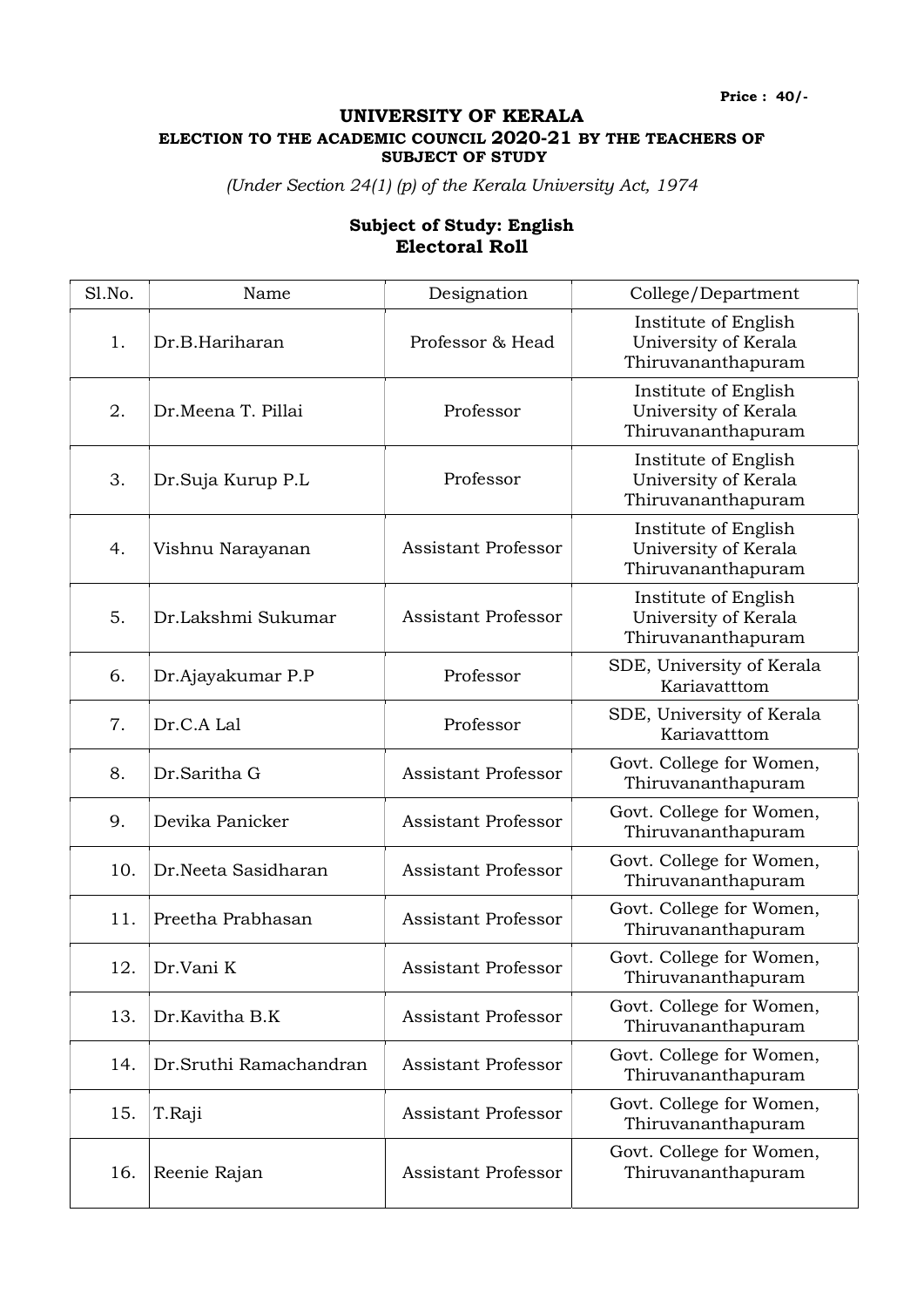Price : 40/-

## UNIVERSITY OF KERALA ELECTION TO THE ACADEMIC COUNCIL 2020-21 BY THE TEACHERS OF SUBJECT OF STUDY

(Under Section 24(1) (p) of the Kerala University Act, 1974

## Subject of Study: English Electoral Roll

| Sl.No. | Name                   | Designation                | College/Department                                                 |
|--------|------------------------|----------------------------|--------------------------------------------------------------------|
| 1.     | Dr.B.Hariharan         | Professor & Head           | Institute of English<br>University of Kerala<br>Thiruvananthapuram |
| 2.     | Dr.Meena T. Pillai     | Professor                  | Institute of English<br>University of Kerala<br>Thiruvananthapuram |
| 3.     | Dr.Suja Kurup P.L      | Professor                  | Institute of English<br>University of Kerala<br>Thiruvananthapuram |
| 4.     | Vishnu Narayanan       | <b>Assistant Professor</b> | Institute of English<br>University of Kerala<br>Thiruvananthapuram |
| 5.     | Dr.Lakshmi Sukumar     | <b>Assistant Professor</b> | Institute of English<br>University of Kerala<br>Thiruvananthapuram |
| 6.     | Dr.Ajayakumar P.P      | Professor                  | SDE, University of Kerala<br>Kariavatttom                          |
| 7.     | Dr.C.A Lal             | Professor                  | SDE, University of Kerala<br>Kariavatttom                          |
| 8.     | Dr.Saritha G           | <b>Assistant Professor</b> | Govt. College for Women,<br>Thiruvananthapuram                     |
| 9.     | Devika Panicker        | <b>Assistant Professor</b> | Govt. College for Women,<br>Thiruvananthapuram                     |
| 10.    | Dr.Neeta Sasidharan    | <b>Assistant Professor</b> | Govt. College for Women,<br>Thiruvananthapuram                     |
| 11.    | Preetha Prabhasan      | <b>Assistant Professor</b> | Govt. College for Women,<br>Thiruvananthapuram                     |
| 12.    | Dr.Vani K              | <b>Assistant Professor</b> | Govt. College for Women,<br>Thiruvananthapuram                     |
| 13.    | Dr.Kavitha B.K         | <b>Assistant Professor</b> | Govt. College for Women,<br>Thiruvananthapuram                     |
| 14.    | Dr.Sruthi Ramachandran | <b>Assistant Professor</b> | Govt. College for Women,<br>Thiruvananthapuram                     |
| 15.    | T.Raji                 | <b>Assistant Professor</b> | Govt. College for Women,<br>Thiruvananthapuram                     |
| 16.    | Reenie Rajan           | <b>Assistant Professor</b> | Govt. College for Women,<br>Thiruvananthapuram                     |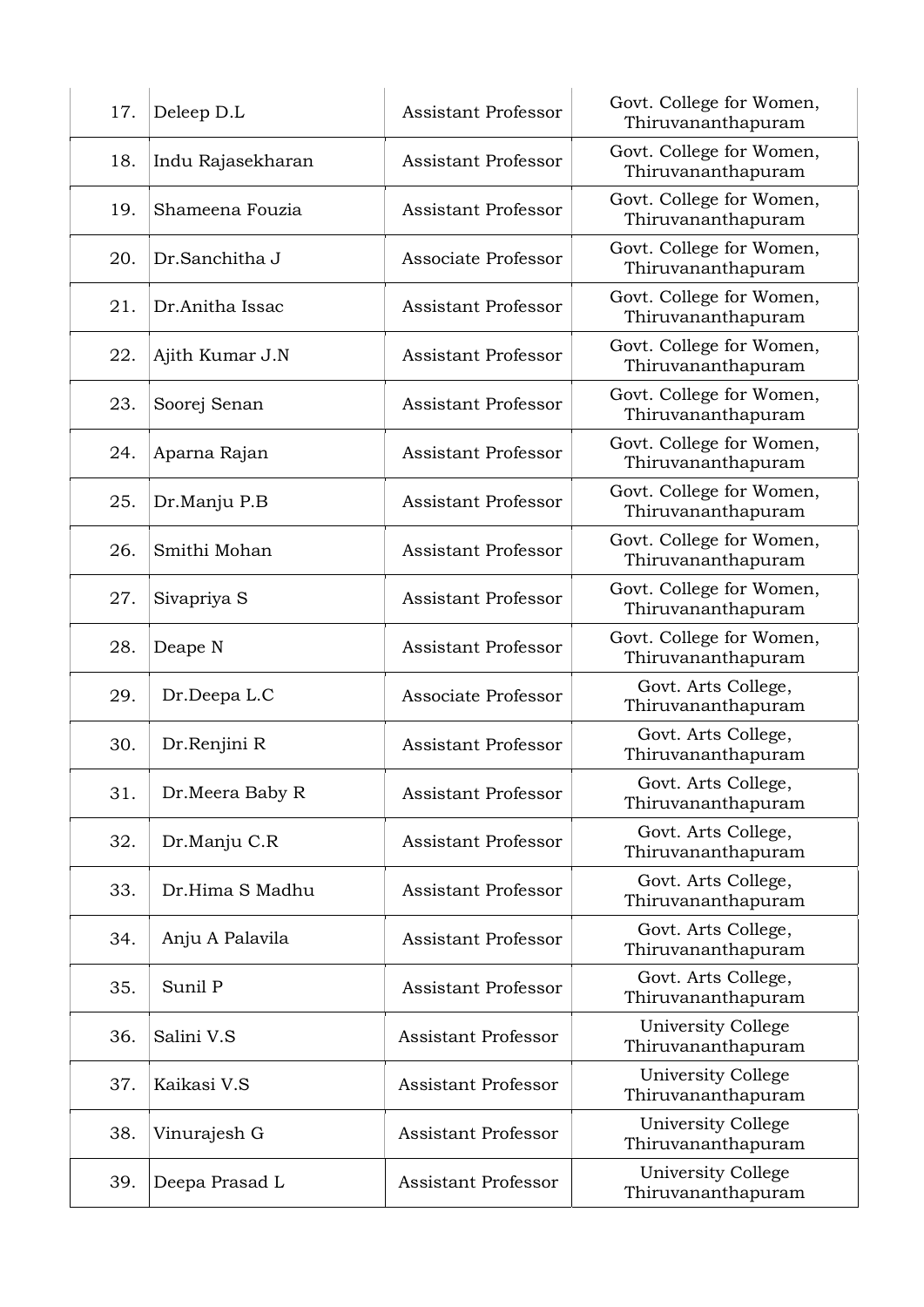| 17. | Deleep D.L        | <b>Assistant Professor</b> | Govt. College for Women,<br>Thiruvananthapuram |
|-----|-------------------|----------------------------|------------------------------------------------|
| 18. | Indu Rajasekharan | <b>Assistant Professor</b> | Govt. College for Women,<br>Thiruvananthapuram |
| 19. | Shameena Fouzia   | <b>Assistant Professor</b> | Govt. College for Women,<br>Thiruvananthapuram |
| 20. | Dr.Sanchitha J    | Associate Professor        | Govt. College for Women,<br>Thiruvananthapuram |
| 21. | Dr.Anitha Issac   | <b>Assistant Professor</b> | Govt. College for Women,<br>Thiruvananthapuram |
| 22. | Ajith Kumar J.N   | <b>Assistant Professor</b> | Govt. College for Women,<br>Thiruvananthapuram |
| 23. | Soorej Senan      | <b>Assistant Professor</b> | Govt. College for Women,<br>Thiruvananthapuram |
| 24. | Aparna Rajan      | <b>Assistant Professor</b> | Govt. College for Women,<br>Thiruvananthapuram |
| 25. | Dr.Manju P.B      | <b>Assistant Professor</b> | Govt. College for Women,<br>Thiruvananthapuram |
| 26. | Smithi Mohan      | <b>Assistant Professor</b> | Govt. College for Women,<br>Thiruvananthapuram |
| 27. | Sivapriya S       | <b>Assistant Professor</b> | Govt. College for Women,<br>Thiruvananthapuram |
| 28. | Deape N           | <b>Assistant Professor</b> | Govt. College for Women,<br>Thiruvananthapuram |
| 29. | Dr.Deepa L.C      | Associate Professor        | Govt. Arts College,<br>Thiruvananthapuram      |
| 30. | Dr.Renjini R      | <b>Assistant Professor</b> | Govt. Arts College,<br>Thiruvananthapuram      |
| 31. | Dr.Meera Baby R   | <b>Assistant Professor</b> | Govt. Arts College,<br>Thiruvananthapuram      |
| 32. | Dr.Manju C.R      | <b>Assistant Professor</b> | Govt. Arts College,<br>Thiruvananthapuram      |
| 33. | Dr.Hima S Madhu   | <b>Assistant Professor</b> | Govt. Arts College,<br>Thiruvananthapuram      |
| 34. | Anju A Palavila   | <b>Assistant Professor</b> | Govt. Arts College,<br>Thiruvananthapuram      |
| 35. | Sunil P           | <b>Assistant Professor</b> | Govt. Arts College,<br>Thiruvananthapuram      |
| 36. | Salini V.S        | <b>Assistant Professor</b> | University College<br>Thiruvananthapuram       |
| 37. | Kaikasi V.S       | <b>Assistant Professor</b> | University College<br>Thiruvananthapuram       |
| 38. | Vinurajesh G      | <b>Assistant Professor</b> | University College<br>Thiruvananthapuram       |
| 39. | Deepa Prasad L    | <b>Assistant Professor</b> | University College<br>Thiruvananthapuram       |
|     |                   |                            |                                                |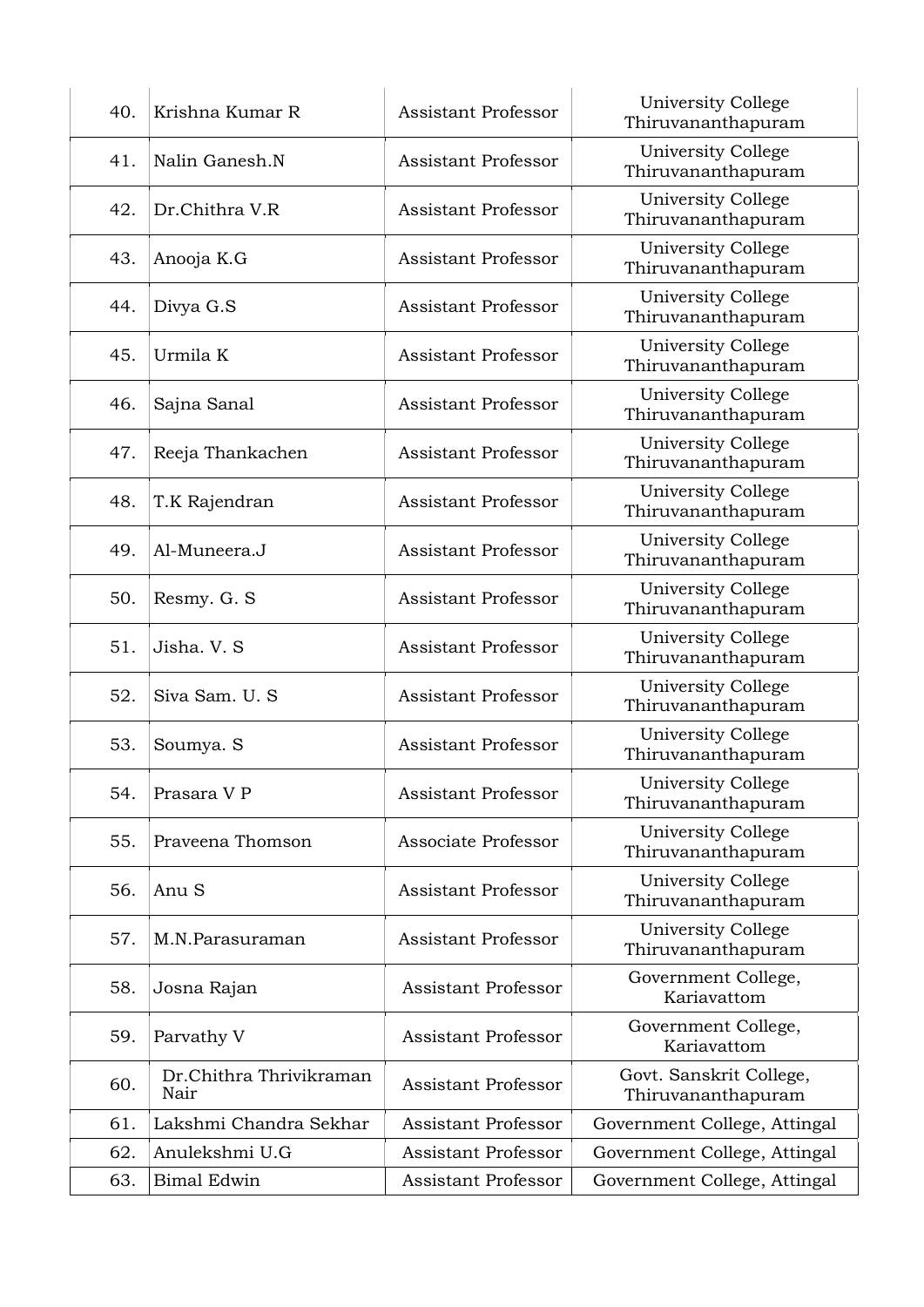| 40. | Krishna Kumar R                 | <b>Assistant Professor</b> | University College<br>Thiruvananthapuram        |
|-----|---------------------------------|----------------------------|-------------------------------------------------|
| 41. | Nalin Ganesh.N                  | <b>Assistant Professor</b> | University College<br>Thiruvananthapuram        |
| 42. | Dr.Chithra V.R                  | <b>Assistant Professor</b> | University College<br>Thiruvananthapuram        |
| 43. | Anooja K.G                      | <b>Assistant Professor</b> | University College<br>Thiruvananthapuram        |
| 44. | Divya G.S                       | <b>Assistant Professor</b> | University College<br>Thiruvananthapuram        |
| 45. | Urmila K                        | <b>Assistant Professor</b> | University College<br>Thiruvananthapuram        |
| 46. | Sajna Sanal                     | Assistant Professor        | University College<br>Thiruvananthapuram        |
| 47. | Reeja Thankachen                | <b>Assistant Professor</b> | University College<br>Thiruvananthapuram        |
| 48. | T.K Rajendran                   | <b>Assistant Professor</b> | University College<br>Thiruvananthapuram        |
| 49. | Al-Muneera.J                    | <b>Assistant Professor</b> | University College<br>Thiruvananthapuram        |
| 50. | Resmy. G. S                     | <b>Assistant Professor</b> | University College<br>Thiruvananthapuram        |
| 51. | Jisha. V. S                     | <b>Assistant Professor</b> | University College<br>Thiruvananthapuram        |
| 52. | Siva Sam. U. S                  | <b>Assistant Professor</b> | University College<br>Thiruvananthapuram        |
| 53. | Soumya. S                       | <b>Assistant Professor</b> | University College<br>Thiruvananthapuram        |
| 54. | Prasara V P                     | <b>Assistant Professor</b> | <b>University College</b><br>Thiruvananthapuram |
| 55. | Praveena Thomson                | Associate Professor        | University College<br>Thiruvananthapuram        |
| 56. | Anu <sub>S</sub>                | <b>Assistant Professor</b> | University College<br>Thiruvananthapuram        |
| 57. | M.N.Parasuraman                 | <b>Assistant Professor</b> | University College<br>Thiruvananthapuram        |
| 58. | Josna Rajan                     | <b>Assistant Professor</b> | Government College,<br>Kariavattom              |
| 59. | Parvathy V                      | <b>Assistant Professor</b> | Government College,<br>Kariavattom              |
| 60. | Dr.Chithra Thrivikraman<br>Nair | <b>Assistant Professor</b> | Govt. Sanskrit College,<br>Thiruvananthapuram   |
| 61. | Lakshmi Chandra Sekhar          | <b>Assistant Professor</b> | Government College, Attingal                    |
| 62. | Anulekshmi U.G                  | Assistant Professor        | Government College, Attingal                    |
| 63. | <b>Bimal Edwin</b>              | Assistant Professor        | Government College, Attingal                    |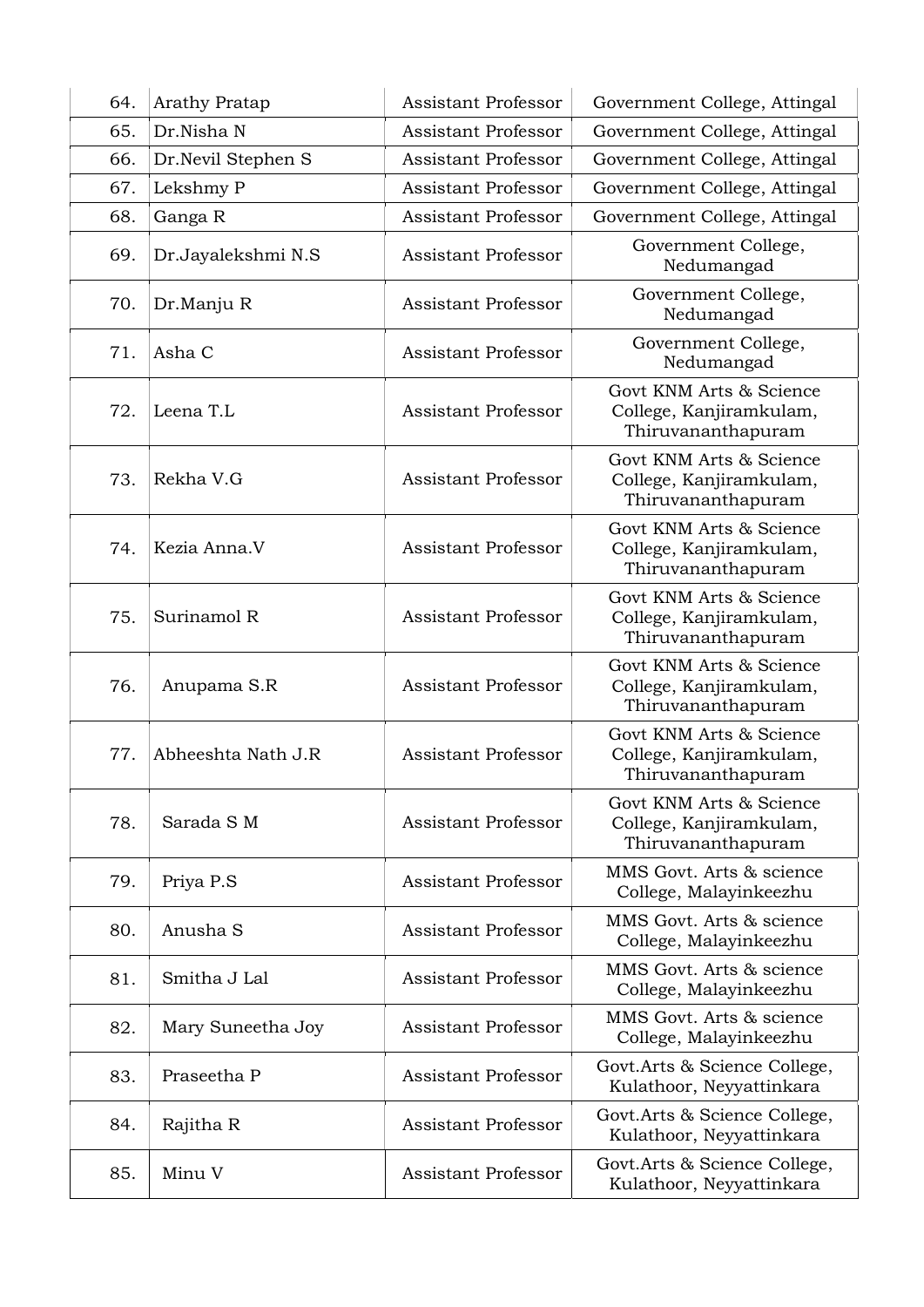| 64. | <b>Arathy Pratap</b> | <b>Assistant Professor</b> | Government College, Attingal                                             |
|-----|----------------------|----------------------------|--------------------------------------------------------------------------|
| 65. | Dr.Nisha N           | <b>Assistant Professor</b> | Government College, Attingal                                             |
| 66. | Dr.Nevil Stephen S   | <b>Assistant Professor</b> | Government College, Attingal                                             |
| 67. | Lekshmy P            | <b>Assistant Professor</b> | Government College, Attingal                                             |
| 68. | Ganga R              | <b>Assistant Professor</b> | Government College, Attingal                                             |
| 69. | Dr.Jayalekshmi N.S   | <b>Assistant Professor</b> | Government College,<br>Nedumangad                                        |
| 70. | Dr.Manju R           | <b>Assistant Professor</b> | Government College,<br>Nedumangad                                        |
| 71. | Asha C               | <b>Assistant Professor</b> | Government College,<br>Nedumangad                                        |
| 72. | Leena T.L            | <b>Assistant Professor</b> | Govt KNM Arts & Science<br>College, Kanjiramkulam,<br>Thiruvananthapuram |
| 73. | Rekha V.G            | <b>Assistant Professor</b> | Govt KNM Arts & Science<br>College, Kanjiramkulam,<br>Thiruvananthapuram |
| 74. | Kezia Anna.V         | <b>Assistant Professor</b> | Govt KNM Arts & Science<br>College, Kanjiramkulam,<br>Thiruvananthapuram |
| 75. | Surinamol R          | <b>Assistant Professor</b> | Govt KNM Arts & Science<br>College, Kanjiramkulam,<br>Thiruvananthapuram |
| 76. | Anupama S.R          | <b>Assistant Professor</b> | Govt KNM Arts & Science<br>College, Kanjiramkulam,<br>Thiruvananthapuram |
| 77. | Abheeshta Nath J.R   | <b>Assistant Professor</b> | Govt KNM Arts & Science<br>College, Kanjiramkulam,<br>Thiruvananthapuram |
| 78. | Sarada SM            | <b>Assistant Professor</b> | Govt KNM Arts & Science<br>College, Kanjiramkulam,<br>Thiruvananthapuram |
| 79. | Priya P.S            | <b>Assistant Professor</b> | MMS Govt. Arts & science<br>College, Malayinkeezhu                       |
| 80. | Anusha S             | <b>Assistant Professor</b> | MMS Govt. Arts & science<br>College, Malayinkeezhu                       |
| 81. | Smitha J Lal         | <b>Assistant Professor</b> | MMS Govt. Arts & science<br>College, Malayinkeezhu                       |
| 82. | Mary Suneetha Joy    | <b>Assistant Professor</b> | MMS Govt. Arts & science<br>College, Malayinkeezhu                       |
| 83. | Praseetha P          | <b>Assistant Professor</b> | Govt.Arts & Science College,<br>Kulathoor, Neyyattinkara                 |
| 84. | Rajitha R            | <b>Assistant Professor</b> | Govt.Arts & Science College,<br>Kulathoor, Neyyattinkara                 |
| 85. | Minu V               | <b>Assistant Professor</b> | Govt.Arts & Science College,<br>Kulathoor, Neyyattinkara                 |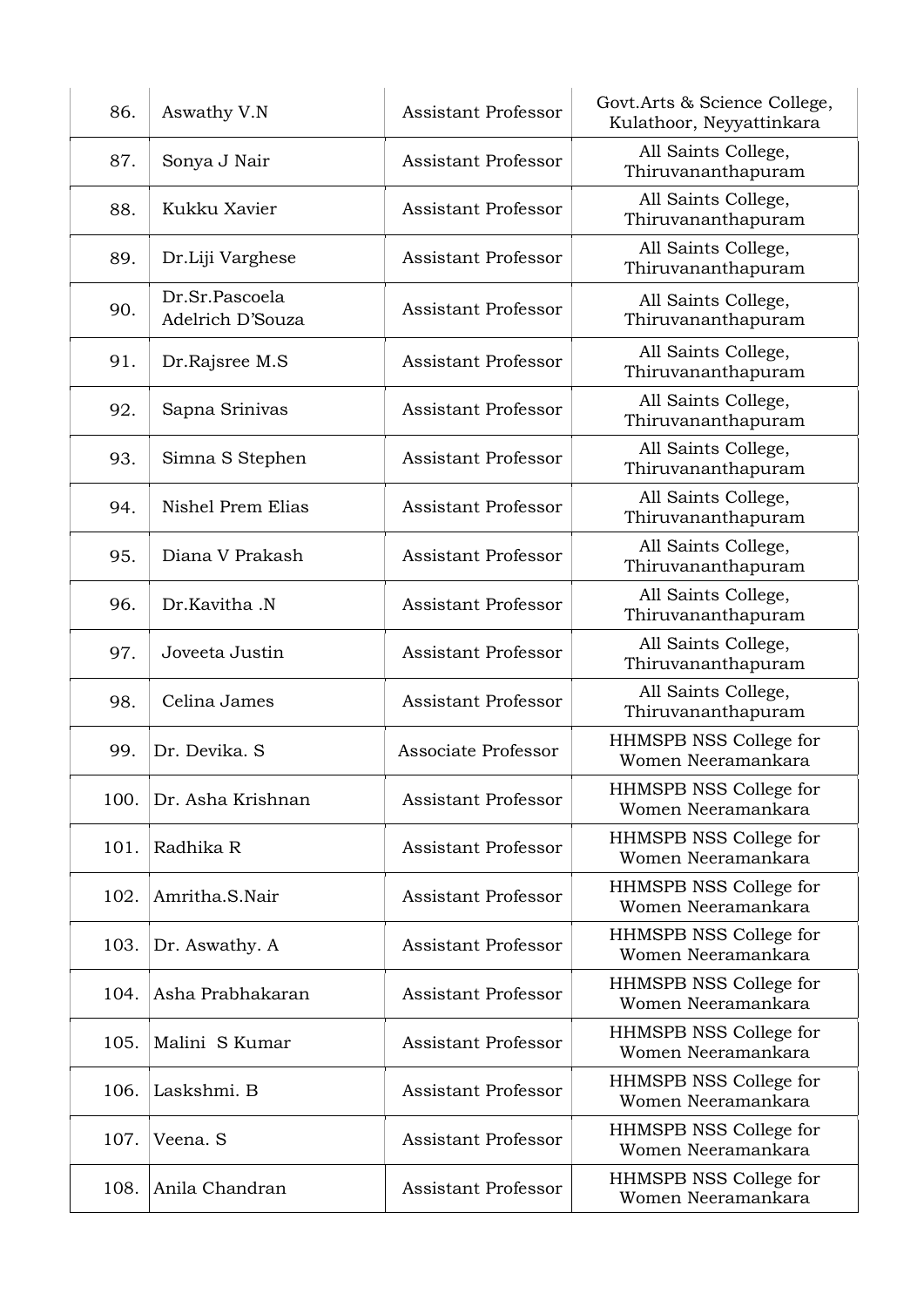| 86.  | Aswathy V.N                        | <b>Assistant Professor</b> | Govt.Arts & Science College,<br>Kulathoor, Neyyattinkara |
|------|------------------------------------|----------------------------|----------------------------------------------------------|
| 87.  | Sonya J Nair                       | <b>Assistant Professor</b> | All Saints College,<br>Thiruvananthapuram                |
| 88.  | Kukku Xavier                       | <b>Assistant Professor</b> | All Saints College,<br>Thiruvananthapuram                |
| 89.  | Dr.Liji Varghese                   | <b>Assistant Professor</b> | All Saints College,<br>Thiruvananthapuram                |
| 90.  | Dr.Sr.Pascoela<br>Adelrich D'Souza | <b>Assistant Professor</b> | All Saints College,<br>Thiruvananthapuram                |
| 91.  | Dr.Rajsree M.S                     | <b>Assistant Professor</b> | All Saints College,<br>Thiruvananthapuram                |
| 92.  | Sapna Srinivas                     | <b>Assistant Professor</b> | All Saints College,<br>Thiruvananthapuram                |
| 93.  | Simna S Stephen                    | <b>Assistant Professor</b> | All Saints College,<br>Thiruvananthapuram                |
| 94.  | Nishel Prem Elias                  | <b>Assistant Professor</b> | All Saints College,<br>Thiruvananthapuram                |
| 95.  | Diana V Prakash                    | <b>Assistant Professor</b> | All Saints College,<br>Thiruvananthapuram                |
| 96.  | Dr.Kavitha .N                      | <b>Assistant Professor</b> | All Saints College,<br>Thiruvananthapuram                |
| 97.  | Joveeta Justin                     | <b>Assistant Professor</b> | All Saints College,<br>Thiruvananthapuram                |
| 98.  | Celina James                       | <b>Assistant Professor</b> | All Saints College,<br>Thiruvananthapuram                |
| 99.  | Dr. Devika. S                      | Associate Professor        | HHMSPB NSS College for<br>Women Neeramankara             |
| 100. | Dr. Asha Krishnan                  | <b>Assistant Professor</b> | HHMSPB NSS College for<br>Women Neeramankara             |
| 101. | Radhika R                          | <b>Assistant Professor</b> | HHMSPB NSS College for<br>Women Neeramankara             |
| 102. | Amritha.S.Nair                     | <b>Assistant Professor</b> | HHMSPB NSS College for<br>Women Neeramankara             |
| 103. | Dr. Aswathy. A                     | <b>Assistant Professor</b> | HHMSPB NSS College for<br>Women Neeramankara             |
| 104. | Asha Prabhakaran                   | <b>Assistant Professor</b> | HHMSPB NSS College for<br>Women Neeramankara             |
| 105. | Malini S Kumar                     | <b>Assistant Professor</b> | HHMSPB NSS College for<br>Women Neeramankara             |
| 106. | Laskshmi. B                        | <b>Assistant Professor</b> | HHMSPB NSS College for<br>Women Neeramankara             |
| 107. | Veena. S                           | <b>Assistant Professor</b> | HHMSPB NSS College for<br>Women Neeramankara             |
| 108. | Anila Chandran                     | <b>Assistant Professor</b> | HHMSPB NSS College for<br>Women Neeramankara             |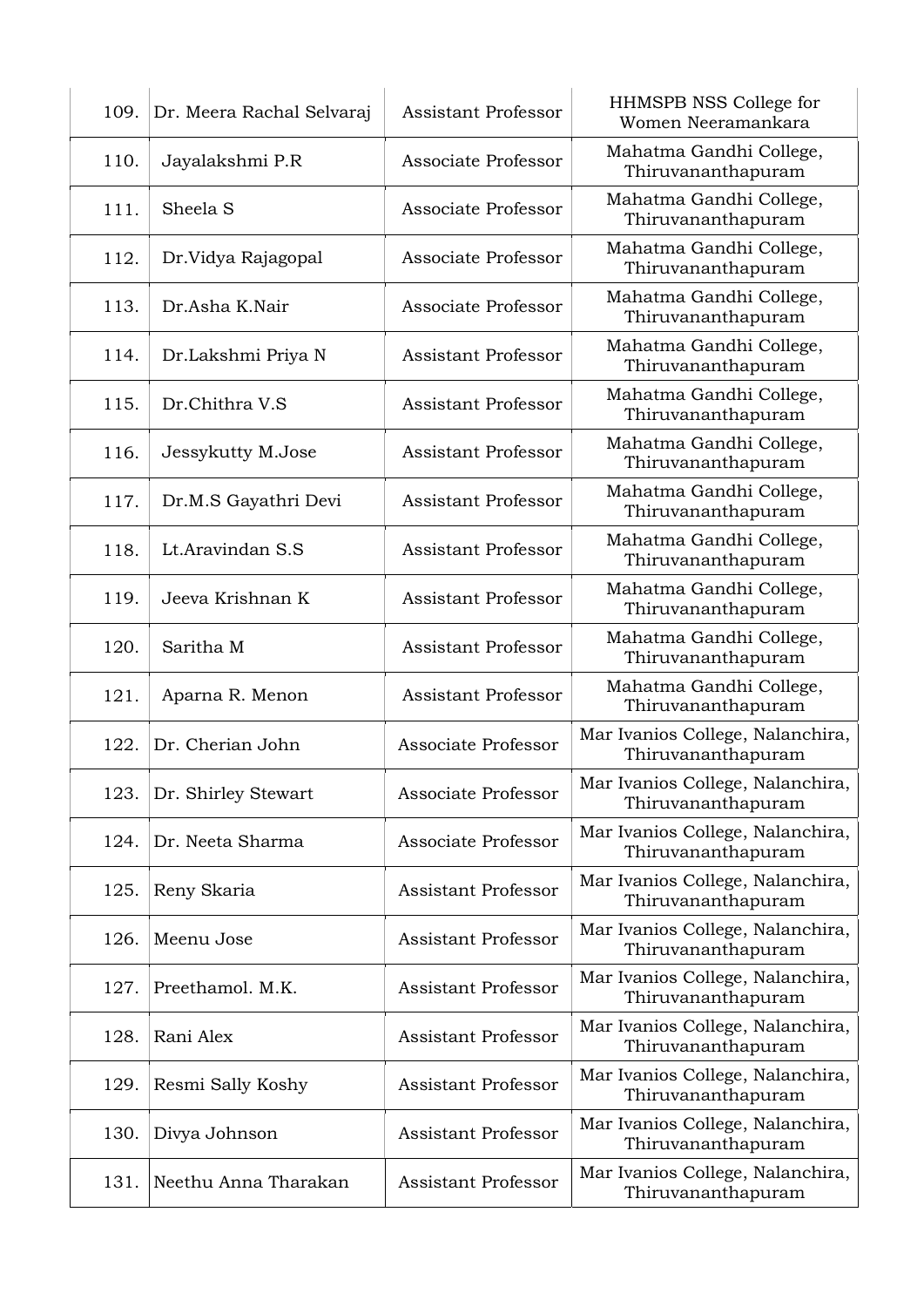| 109. Dr. Meera Rachal Selvaraj | <b>Assistant Professor</b> | HHMSPB NSS College for<br>Women Neeramankara           |
|--------------------------------|----------------------------|--------------------------------------------------------|
| Jayalakshmi P.R                | Associate Professor        | Mahatma Gandhi College,<br>Thiruvananthapuram          |
| Sheela <sub>S</sub>            | Associate Professor        | Mahatma Gandhi College,<br>Thiruvananthapuram          |
| Dr.Vidya Rajagopal             | Associate Professor        | Mahatma Gandhi College,<br>Thiruvananthapuram          |
| Dr.Asha K.Nair                 | Associate Professor        | Mahatma Gandhi College,<br>Thiruvananthapuram          |
| Dr.Lakshmi Priya N             | <b>Assistant Professor</b> | Mahatma Gandhi College,<br>Thiruvananthapuram          |
| Dr.Chithra V.S                 | <b>Assistant Professor</b> | Mahatma Gandhi College,<br>Thiruvananthapuram          |
| Jessykutty M.Jose              | <b>Assistant Professor</b> | Mahatma Gandhi College,<br>Thiruvananthapuram          |
| Dr.M.S Gayathri Devi           | <b>Assistant Professor</b> | Mahatma Gandhi College,<br>Thiruvananthapuram          |
| Lt.Aravindan S.S               | <b>Assistant Professor</b> | Mahatma Gandhi College,<br>Thiruvananthapuram          |
| Jeeva Krishnan K               | <b>Assistant Professor</b> | Mahatma Gandhi College,<br>Thiruvananthapuram          |
| Saritha M                      | <b>Assistant Professor</b> | Mahatma Gandhi College,<br>Thiruvananthapuram          |
| Aparna R. Menon                | <b>Assistant Professor</b> | Mahatma Gandhi College,<br>Thiruvananthapuram          |
| Dr. Cherian John               | Associate Professor        | Mar Ivanios College, Nalanchira,<br>Thiruvananthapuram |
| Dr. Shirley Stewart            | Associate Professor        | Mar Ivanios College, Nalanchira,<br>Thiruvananthapuram |
| Dr. Neeta Sharma               | Associate Professor        | Mar Ivanios College, Nalanchira,<br>Thiruvananthapuram |
| Reny Skaria                    | <b>Assistant Professor</b> | Mar Ivanios College, Nalanchira,<br>Thiruvananthapuram |
| Meenu Jose                     | Assistant Professor        | Mar Ivanios College, Nalanchira,<br>Thiruvananthapuram |
| Preethamol. M.K.               | <b>Assistant Professor</b> | Mar Ivanios College, Nalanchira,<br>Thiruvananthapuram |
| Rani Alex                      | <b>Assistant Professor</b> | Mar Ivanios College, Nalanchira,<br>Thiruvananthapuram |
| Resmi Sally Koshy              | <b>Assistant Professor</b> | Mar Ivanios College, Nalanchira,<br>Thiruvananthapuram |
| Divya Johnson                  | <b>Assistant Professor</b> | Mar Ivanios College, Nalanchira,<br>Thiruvananthapuram |
| Neethu Anna Tharakan           | <b>Assistant Professor</b> | Mar Ivanios College, Nalanchira,<br>Thiruvananthapuram |
|                                |                            |                                                        |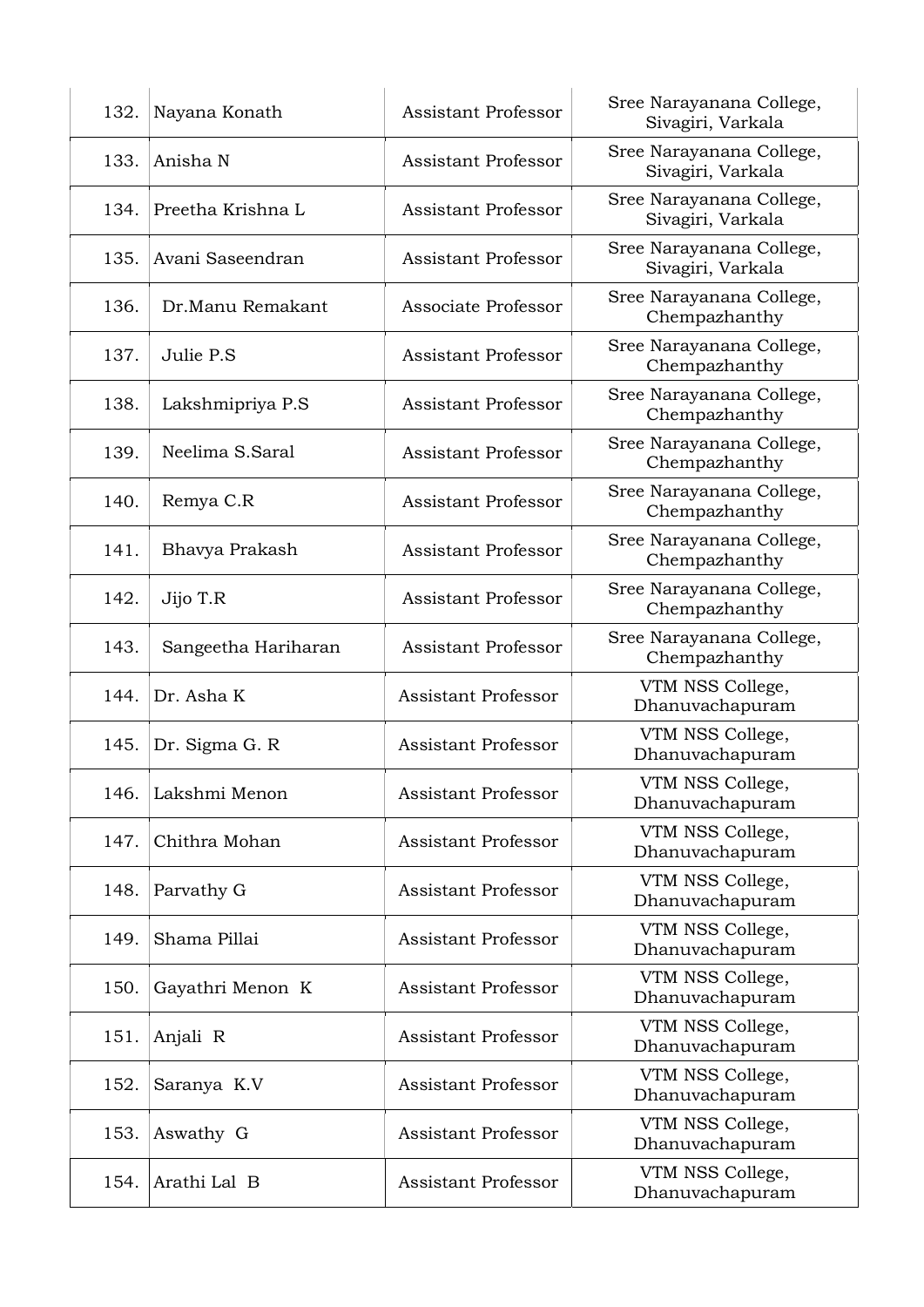| 132. | Nayana Konath       | <b>Assistant Professor</b> | Sree Narayanana College,<br>Sivagiri, Varkala |
|------|---------------------|----------------------------|-----------------------------------------------|
| 133. | Anisha N            | <b>Assistant Professor</b> | Sree Narayanana College,<br>Sivagiri, Varkala |
| 134. | Preetha Krishna L   | <b>Assistant Professor</b> | Sree Narayanana College,<br>Sivagiri, Varkala |
| 135. | Avani Saseendran    | <b>Assistant Professor</b> | Sree Narayanana College,<br>Sivagiri, Varkala |
| 136. | Dr.Manu Remakant    | Associate Professor        | Sree Narayanana College,<br>Chempazhanthy     |
| 137. | Julie P.S           | <b>Assistant Professor</b> | Sree Narayanana College,<br>Chempazhanthy     |
| 138. | Lakshmipriya P.S    | Assistant Professor        | Sree Narayanana College,<br>Chempazhanthy     |
| 139. | Neelima S.Saral     | <b>Assistant Professor</b> | Sree Narayanana College,<br>Chempazhanthy     |
| 140. | Remya C.R           | <b>Assistant Professor</b> | Sree Narayanana College,<br>Chempazhanthy     |
| 141. | Bhavya Prakash      | <b>Assistant Professor</b> | Sree Narayanana College,<br>Chempazhanthy     |
| 142. | Jijo T.R            | <b>Assistant Professor</b> | Sree Narayanana College,<br>Chempazhanthy     |
| 143. | Sangeetha Hariharan | <b>Assistant Professor</b> | Sree Narayanana College,<br>Chempazhanthy     |
| 144. | Dr. Asha K          | <b>Assistant Professor</b> | VTM NSS College,<br>Dhanuvachapuram           |
| 145. | Dr. Sigma G. R      | <b>Assistant Professor</b> | VTM NSS College,<br>Dhanuvachapuram           |
| 146. | Lakshmi Menon       | <b>Assistant Professor</b> | VTM NSS College,<br>Dhanuvachapuram           |
| 147. | Chithra Mohan       | <b>Assistant Professor</b> | VTM NSS College,<br>Dhanuvachapuram           |
| 148. | Parvathy G          | <b>Assistant Professor</b> | VTM NSS College,<br>Dhanuvachapuram           |
| 149. | Shama Pillai        | <b>Assistant Professor</b> | VTM NSS College,<br>Dhanuvachapuram           |
| 150. | Gayathri Menon K    | <b>Assistant Professor</b> | VTM NSS College,<br>Dhanuvachapuram           |
| 151. | Anjali R            | <b>Assistant Professor</b> | VTM NSS College,<br>Dhanuvachapuram           |
| 152. | Saranya K.V         | <b>Assistant Professor</b> | VTM NSS College,<br>Dhanuvachapuram           |
| 153. | Aswathy G           | <b>Assistant Professor</b> | VTM NSS College,<br>Dhanuvachapuram           |
| 154. | Arathi Lal B        | <b>Assistant Professor</b> | VTM NSS College,<br>Dhanuvachapuram           |
|      |                     |                            |                                               |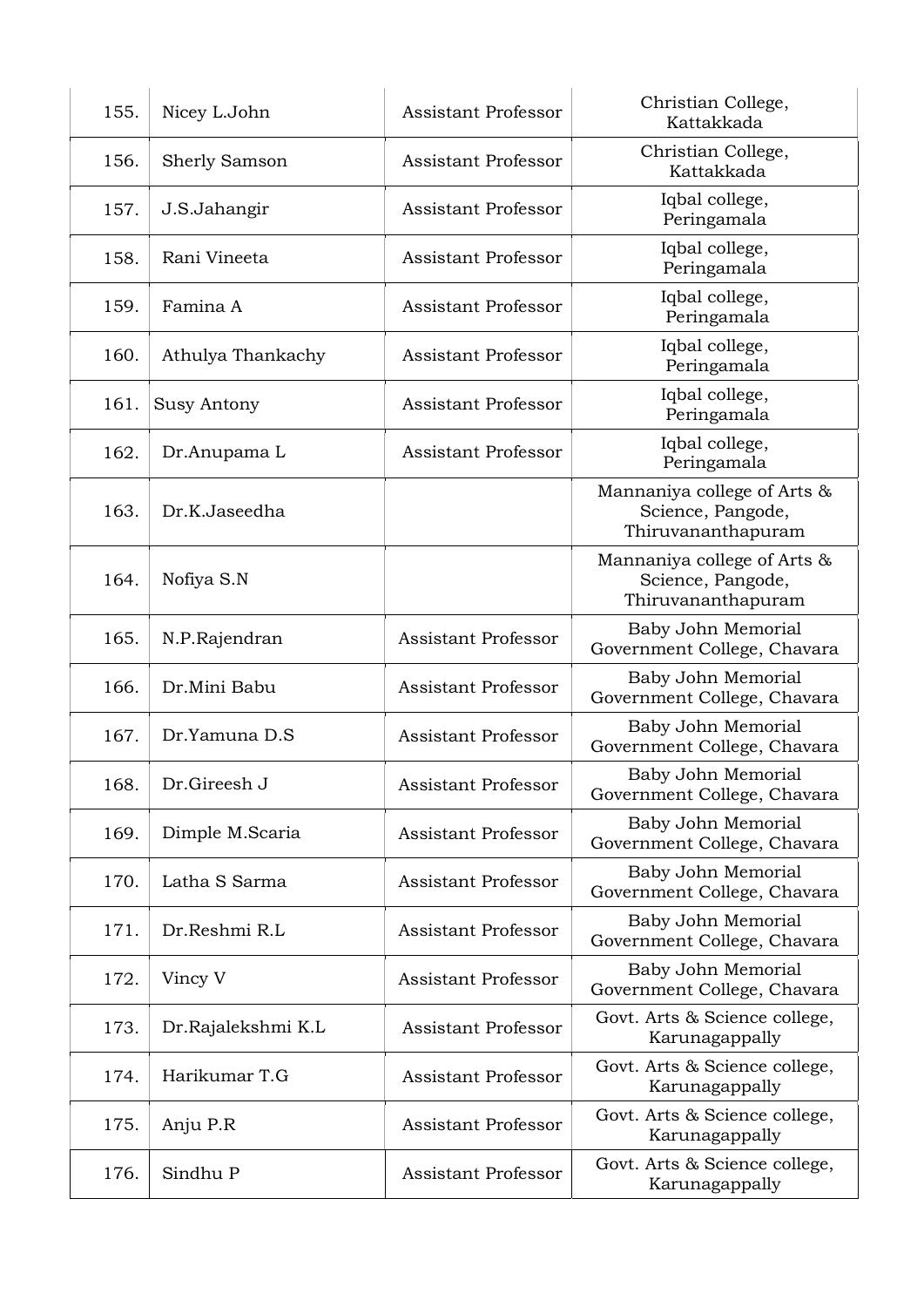| 156. |                      | <b>Assistant Professor</b> | Christian College,<br>Kattakkada                                       |
|------|----------------------|----------------------------|------------------------------------------------------------------------|
|      | <b>Sherly Samson</b> | <b>Assistant Professor</b> | Christian College,<br>Kattakkada                                       |
| 157. | J.S.Jahangir         | <b>Assistant Professor</b> | Iqbal college,<br>Peringamala                                          |
| 158. | Rani Vineeta         | <b>Assistant Professor</b> | Iqbal college,<br>Peringamala                                          |
| 159. | Famina A             | <b>Assistant Professor</b> | Iqbal college,<br>Peringamala                                          |
| 160. | Athulya Thankachy    | <b>Assistant Professor</b> | Iqbal college,<br>Peringamala                                          |
| 161. | Susy Antony          | <b>Assistant Professor</b> | Iqbal college,<br>Peringamala                                          |
| 162. | Dr.Anupama L         | <b>Assistant Professor</b> | Iqbal college,<br>Peringamala                                          |
| 163. | Dr.K.Jaseedha        |                            | Mannaniya college of Arts &<br>Science, Pangode,<br>Thiruvananthapuram |
| 164. | Nofiya S.N           |                            | Mannaniya college of Arts &<br>Science, Pangode,<br>Thiruvananthapuram |
| 165. | N.P.Rajendran        | Assistant Professor        | Baby John Memorial<br>Government College, Chavara                      |
| 166. | Dr.Mini Babu         | <b>Assistant Professor</b> | Baby John Memorial<br>Government College, Chavara                      |
| 167. | Dr.Yamuna D.S        | <b>Assistant Professor</b> | Baby John Memorial<br>Government College, Chavara                      |
| 168. | Dr.Gireesh J         | <b>Assistant Professor</b> | Baby John Memorial<br>Government College, Chavara                      |
| 169. | Dimple M.Scaria      | <b>Assistant Professor</b> | Baby John Memorial<br>Government College, Chavara                      |
| 170. | Latha S Sarma        | <b>Assistant Professor</b> | Baby John Memorial<br>Government College, Chavara                      |
| 171. | Dr.Reshmi R.L        | <b>Assistant Professor</b> | Baby John Memorial<br>Government College, Chavara                      |
| 172. | Vincy V              | <b>Assistant Professor</b> | Baby John Memorial<br>Government College, Chavara                      |
| 173. | Dr.Rajalekshmi K.L   | <b>Assistant Professor</b> | Govt. Arts & Science college,<br>Karunagappally                        |
| 174. | Harikumar T.G        | <b>Assistant Professor</b> | Govt. Arts & Science college,<br>Karunagappally                        |
| 175. | Anju P.R             | <b>Assistant Professor</b> | Govt. Arts & Science college,<br>Karunagappally                        |
| 176. | Sindhu P             | <b>Assistant Professor</b> | Govt. Arts & Science college,<br>Karunagappally                        |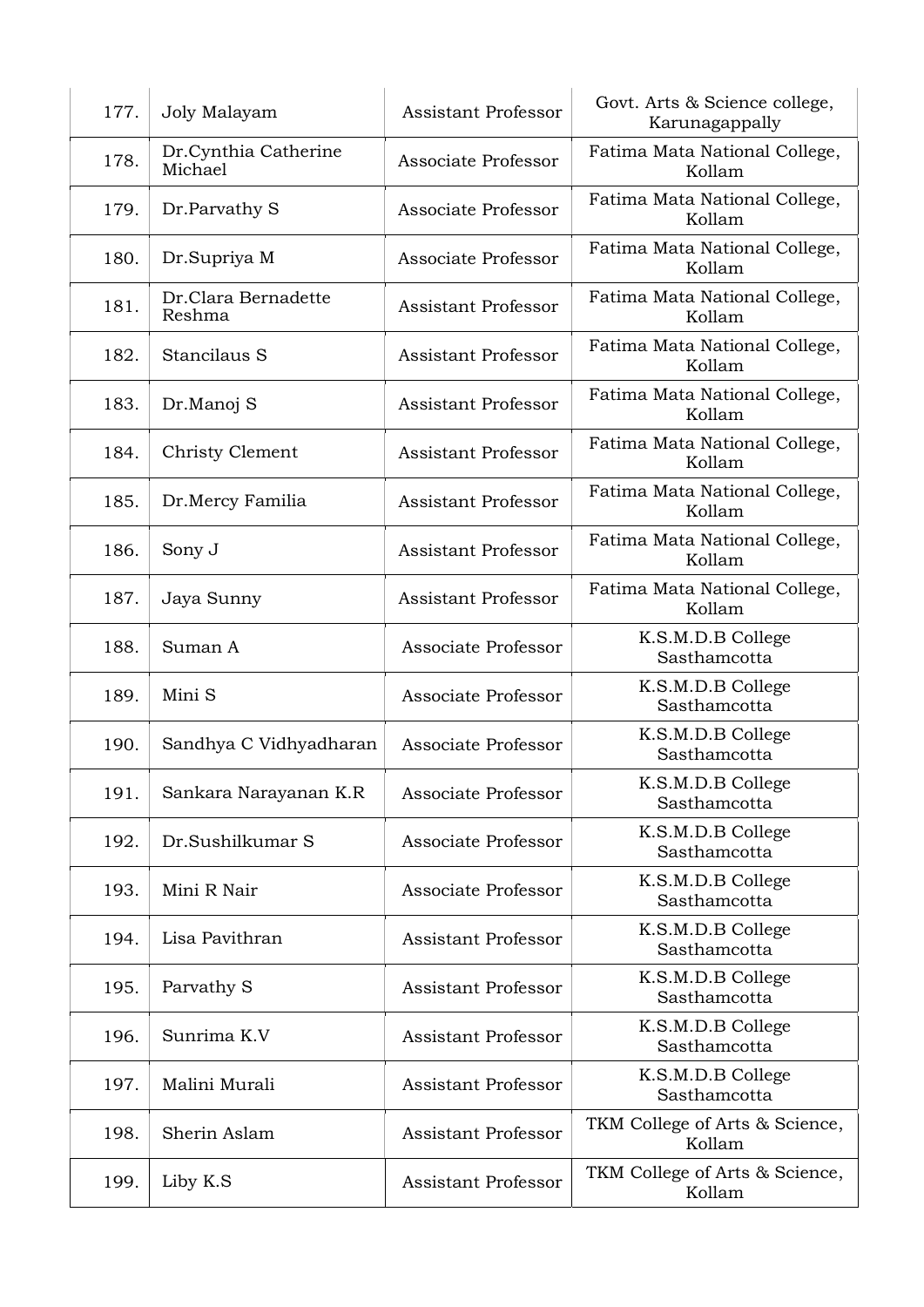| 177. | Joly Malayam                    | <b>Assistant Professor</b> | Govt. Arts & Science college,<br>Karunagappally |
|------|---------------------------------|----------------------------|-------------------------------------------------|
| 178. | Dr.Cynthia Catherine<br>Michael | Associate Professor        | Fatima Mata National College,<br>Kollam         |
| 179. | Dr.Parvathy S                   | Associate Professor        | Fatima Mata National College,<br>Kollam         |
| 180. | Dr.Supriya M                    | Associate Professor        | Fatima Mata National College,<br>Kollam         |
| 181. | Dr.Clara Bernadette<br>Reshma   | <b>Assistant Professor</b> | Fatima Mata National College,<br>Kollam         |
| 182. | Stancilaus S                    | <b>Assistant Professor</b> | Fatima Mata National College,<br>Kollam         |
| 183. | Dr.Manoj S                      | <b>Assistant Professor</b> | Fatima Mata National College,<br>Kollam         |
| 184. | Christy Clement                 | <b>Assistant Professor</b> | Fatima Mata National College,<br>Kollam         |
| 185. | Dr.Mercy Familia                | <b>Assistant Professor</b> | Fatima Mata National College,<br>Kollam         |
| 186. | Sony J                          | <b>Assistant Professor</b> | Fatima Mata National College,<br>Kollam         |
| 187. | Jaya Sunny                      | <b>Assistant Professor</b> | Fatima Mata National College,<br>Kollam         |
| 188. | Suman A                         | Associate Professor        | K.S.M.D.B College<br>Sasthamcotta               |
| 189. | Mini S                          | Associate Professor        | K.S.M.D.B College<br>Sasthamcotta               |
| 190. | Sandhya C Vidhyadharan          | Associate Professor        | K.S.M.D.B College<br>Sasthamcotta               |
| 191. | Sankara Narayanan K.R           | Associate Professor        | K.S.M.D.B College<br>Sasthamcotta               |
| 192. | Dr.Sushilkumar S                | Associate Professor        | K.S.M.D.B College<br>Sasthamcotta               |
| 193. | Mini R Nair                     | Associate Professor        | K.S.M.D.B College<br>Sasthamcotta               |
| 194. | Lisa Pavithran                  | <b>Assistant Professor</b> | K.S.M.D.B College<br>Sasthamcotta               |
| 195. | Parvathy S                      | <b>Assistant Professor</b> | K.S.M.D.B College<br>Sasthamcotta               |
| 196. | Sunrima K.V                     | Assistant Professor        | K.S.M.D.B College<br>Sasthamcotta               |
| 197. | Malini Murali                   | <b>Assistant Professor</b> | K.S.M.D.B College<br>Sasthamcotta               |
| 198. | Sherin Aslam                    | <b>Assistant Professor</b> | TKM College of Arts & Science,<br>Kollam        |
| 199. | Liby K.S                        | <b>Assistant Professor</b> | TKM College of Arts & Science,<br>Kollam        |
|      |                                 |                            |                                                 |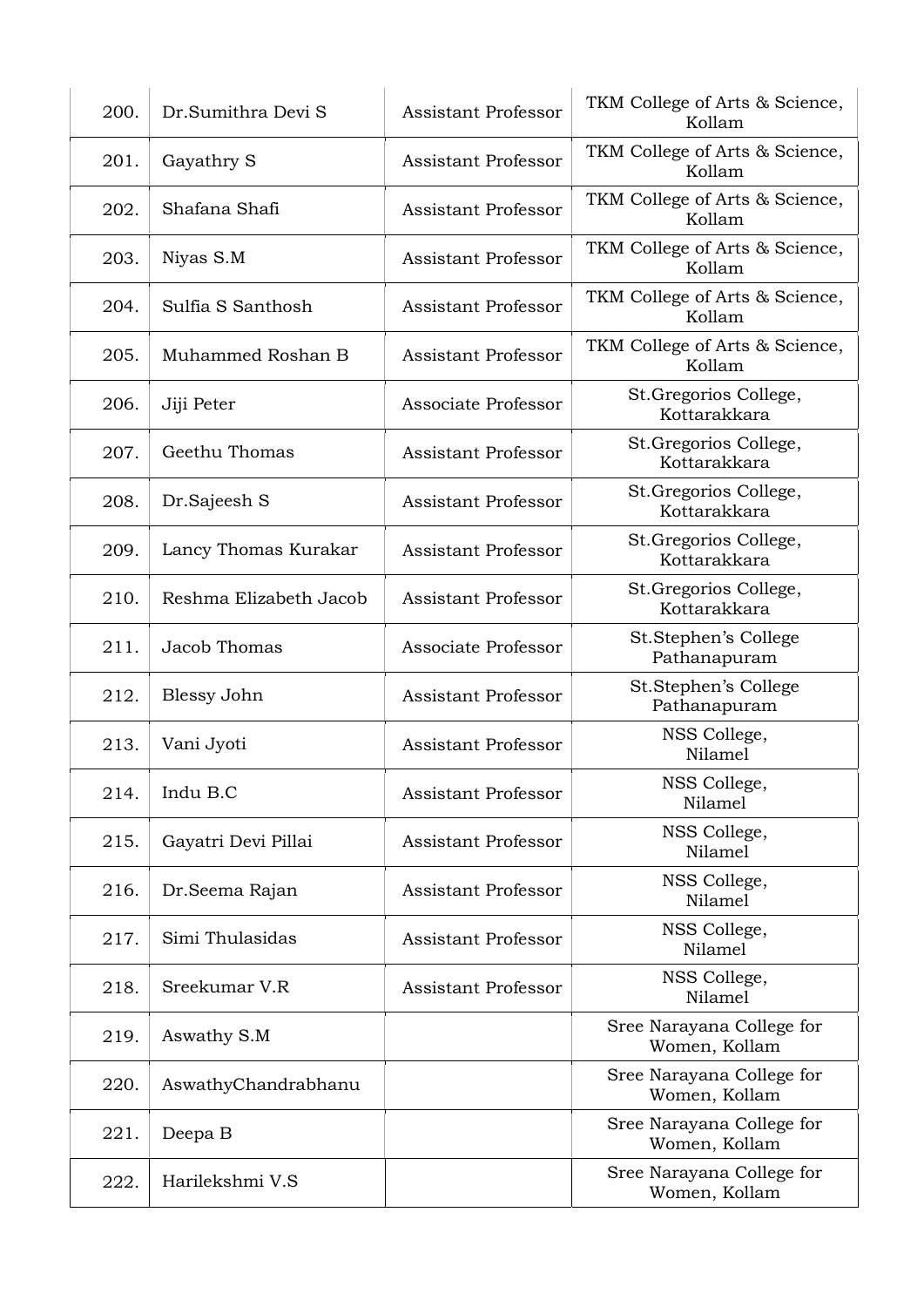| 200. | Dr.Sumithra Devi S     | <b>Assistant Professor</b> | TKM College of Arts & Science,<br>Kollam   |
|------|------------------------|----------------------------|--------------------------------------------|
| 201. | Gayathry S             | <b>Assistant Professor</b> | TKM College of Arts & Science,<br>Kollam   |
| 202. | Shafana Shafi          | Assistant Professor        | TKM College of Arts & Science,<br>Kollam   |
| 203. | Niyas S.M              | <b>Assistant Professor</b> | TKM College of Arts & Science,<br>Kollam   |
| 204. | Sulfia S Santhosh      | <b>Assistant Professor</b> | TKM College of Arts & Science,<br>Kollam   |
| 205. | Muhammed Roshan B      | <b>Assistant Professor</b> | TKM College of Arts & Science,<br>Kollam   |
| 206. | Jiji Peter             | Associate Professor        | St.Gregorios College,<br>Kottarakkara      |
| 207. | Geethu Thomas          | <b>Assistant Professor</b> | St.Gregorios College,<br>Kottarakkara      |
| 208. | Dr.Sajeesh S           | <b>Assistant Professor</b> | St.Gregorios College,<br>Kottarakkara      |
| 209. | Lancy Thomas Kurakar   | <b>Assistant Professor</b> | St. Gregorios College,<br>Kottarakkara     |
| 210. | Reshma Elizabeth Jacob | <b>Assistant Professor</b> | St. Gregorios College,<br>Kottarakkara     |
| 211. | Jacob Thomas           | Associate Professor        | St.Stephen's College<br>Pathanapuram       |
| 212. | Blessy John            | <b>Assistant Professor</b> | St.Stephen's College<br>Pathanapuram       |
| 213. | Vani Jyoti             | <b>Assistant Professor</b> | NSS College,<br>Nilamel                    |
| 214. | Indu B.C               | <b>Assistant Professor</b> | NSS College,<br>Nilamel                    |
| 215. | Gayatri Devi Pillai    | <b>Assistant Professor</b> | NSS College,<br>Nilamel                    |
| 216. | Dr.Seema Rajan         | <b>Assistant Professor</b> | NSS College,<br>Nilamel                    |
| 217. | Simi Thulasidas        | <b>Assistant Professor</b> | NSS College,<br>Nilamel                    |
| 218. | Sreekumar V.R          | <b>Assistant Professor</b> | NSS College,<br>Nilamel                    |
| 219. | Aswathy S.M            |                            | Sree Narayana College for<br>Women, Kollam |
| 220. | AswathyChandrabhanu    |                            | Sree Narayana College for<br>Women, Kollam |
| 221. | Deepa B                |                            | Sree Narayana College for<br>Women, Kollam |
| 222. | Harilekshmi V.S        |                            | Sree Narayana College for<br>Women, Kollam |
|      |                        |                            |                                            |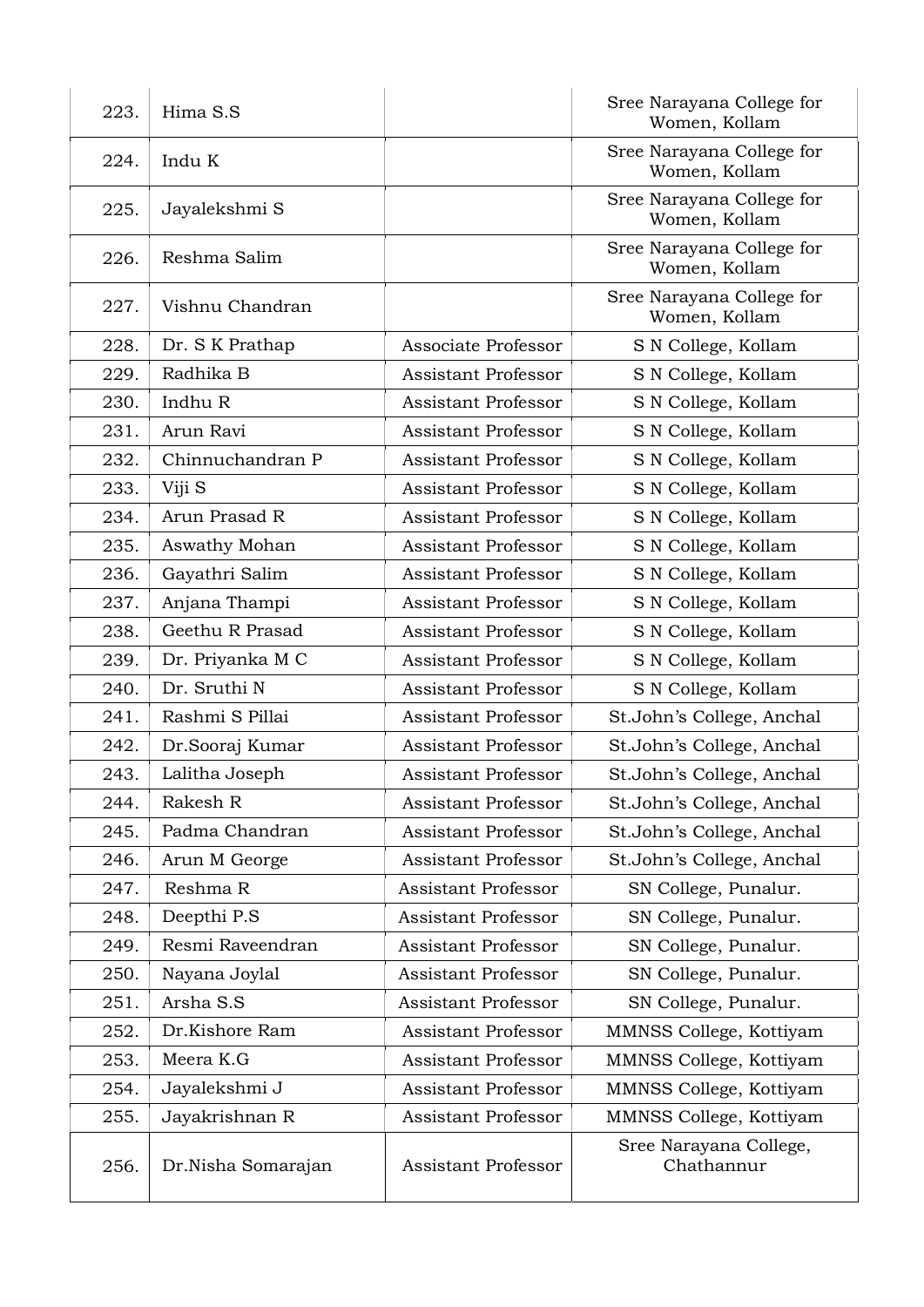| 223. | Hima S.S           |                            | Sree Narayana College for<br>Women, Kollam |
|------|--------------------|----------------------------|--------------------------------------------|
| 224. | Indu K             |                            | Sree Narayana College for<br>Women, Kollam |
| 225. | Jayalekshmi S      |                            | Sree Narayana College for<br>Women, Kollam |
| 226. | Reshma Salim       |                            | Sree Narayana College for<br>Women, Kollam |
| 227. | Vishnu Chandran    |                            | Sree Narayana College for<br>Women, Kollam |
| 228. | Dr. S K Prathap    | Associate Professor        | S N College, Kollam                        |
| 229. | Radhika B          | <b>Assistant Professor</b> | S N College, Kollam                        |
| 230. | Indhu R            | <b>Assistant Professor</b> | S N College, Kollam                        |
| 231. | Arun Ravi          | <b>Assistant Professor</b> | S N College, Kollam                        |
| 232. | Chinnuchandran P   | <b>Assistant Professor</b> | S N College, Kollam                        |
| 233. | Viji S             | <b>Assistant Professor</b> | S N College, Kollam                        |
| 234. | Arun Prasad R      | <b>Assistant Professor</b> | S N College, Kollam                        |
| 235. | Aswathy Mohan      | <b>Assistant Professor</b> | S N College, Kollam                        |
| 236. | Gayathri Salim     | <b>Assistant Professor</b> | S N College, Kollam                        |
| 237. | Anjana Thampi      | <b>Assistant Professor</b> | S N College, Kollam                        |
| 238. | Geethu R Prasad    | <b>Assistant Professor</b> | S N College, Kollam                        |
| 239. | Dr. Priyanka M C   | <b>Assistant Professor</b> | S N College, Kollam                        |
| 240. | Dr. Sruthi N       | <b>Assistant Professor</b> | S N College, Kollam                        |
| 241. | Rashmi S Pillai    | <b>Assistant Professor</b> | St.John's College, Anchal                  |
| 242. | Dr.Sooraj Kumar    | <b>Assistant Professor</b> | St.John's College, Anchal                  |
| 243. | Lalitha Joseph     | <b>Assistant Professor</b> | St.John's College, Anchal                  |
| 244. | Rakesh R           | <b>Assistant Professor</b> | St.John's College, Anchal                  |
| 245. | Padma Chandran     | <b>Assistant Professor</b> | St.John's College, Anchal                  |
| 246. | Arun M George      | <b>Assistant Professor</b> | St.John's College, Anchal                  |
| 247. | Reshma R           | <b>Assistant Professor</b> | SN College, Punalur.                       |
| 248. | Deepthi P.S        | <b>Assistant Professor</b> | SN College, Punalur.                       |
| 249. | Resmi Raveendran   | <b>Assistant Professor</b> | SN College, Punalur.                       |
| 250. | Nayana Joylal      | <b>Assistant Professor</b> | SN College, Punalur.                       |
| 251. | Arsha S.S          | <b>Assistant Professor</b> | SN College, Punalur.                       |
| 252. | Dr.Kishore Ram     | <b>Assistant Professor</b> | MMNSS College, Kottiyam                    |
| 253. | Meera K.G          | <b>Assistant Professor</b> | MMNSS College, Kottiyam                    |
| 254. | Jayalekshmi J      | <b>Assistant Professor</b> | MMNSS College, Kottiyam                    |
| 255. | Jayakrishnan R     | <b>Assistant Professor</b> | MMNSS College, Kottiyam                    |
| 256. | Dr.Nisha Somarajan | <b>Assistant Professor</b> | Sree Narayana College,<br>Chathannur       |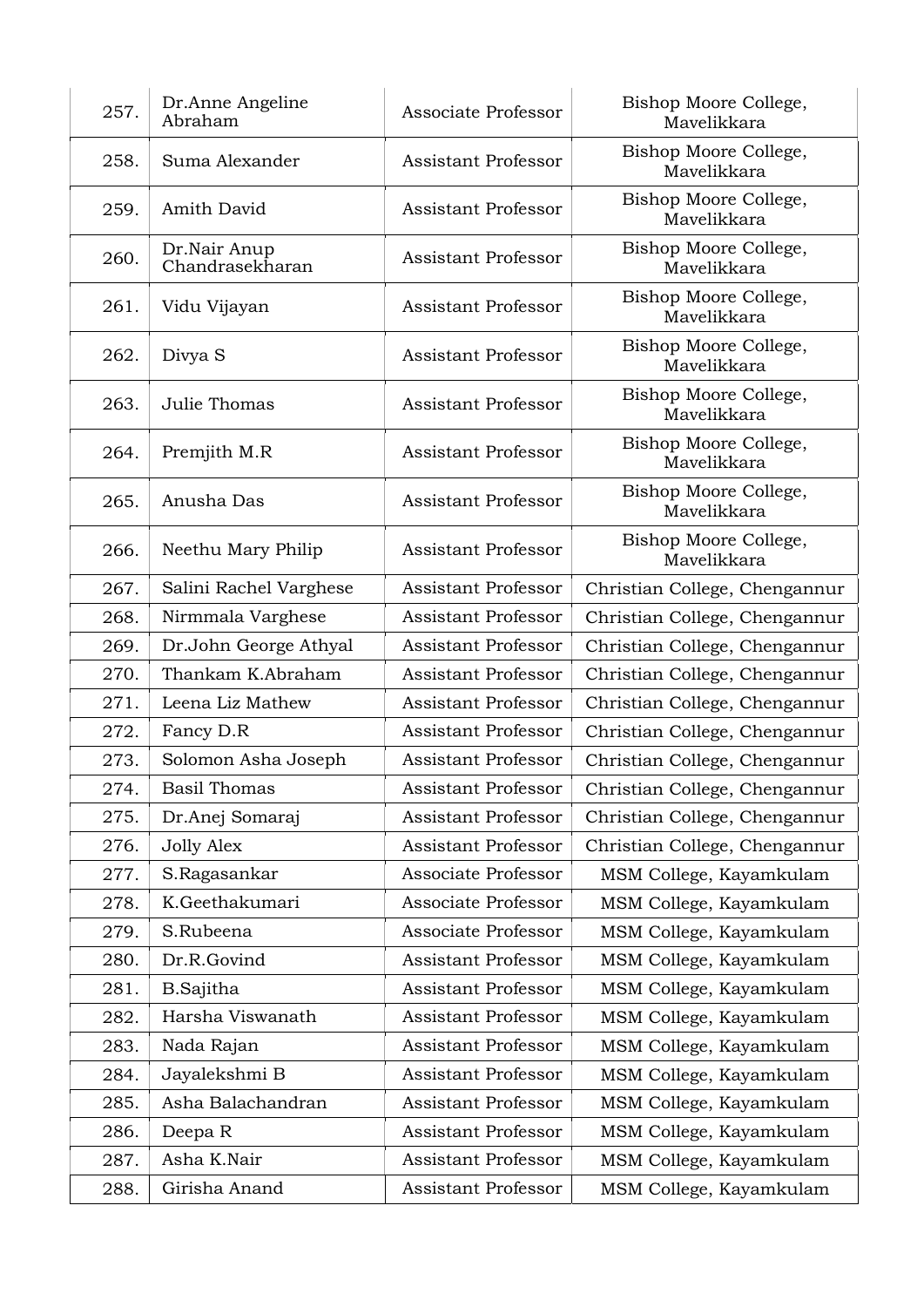| 257. | Dr.Anne Angeline<br>Abraham     | Associate Professor        | Bishop Moore College,<br>Mavelikkara |
|------|---------------------------------|----------------------------|--------------------------------------|
| 258. | Suma Alexander                  | <b>Assistant Professor</b> | Bishop Moore College,<br>Mavelikkara |
| 259. | Amith David                     | <b>Assistant Professor</b> | Bishop Moore College,<br>Mavelikkara |
| 260. | Dr.Nair Anup<br>Chandrasekharan | <b>Assistant Professor</b> | Bishop Moore College,<br>Mavelikkara |
| 261. | Vidu Vijayan                    | <b>Assistant Professor</b> | Bishop Moore College,<br>Mavelikkara |
| 262. | Divya S                         | <b>Assistant Professor</b> | Bishop Moore College,<br>Mavelikkara |
| 263. | Julie Thomas                    | <b>Assistant Professor</b> | Bishop Moore College,<br>Mavelikkara |
| 264. | Premjith M.R                    | <b>Assistant Professor</b> | Bishop Moore College,<br>Mavelikkara |
| 265. | Anusha Das                      | <b>Assistant Professor</b> | Bishop Moore College,<br>Mavelikkara |
| 266. | Neethu Mary Philip              | <b>Assistant Professor</b> | Bishop Moore College,<br>Mavelikkara |
| 267. | Salini Rachel Varghese          | Assistant Professor        | Christian College, Chengannur        |
| 268. | Nirmmala Varghese               | <b>Assistant Professor</b> | Christian College, Chengannur        |
| 269. | Dr.John George Athyal           | <b>Assistant Professor</b> | Christian College, Chengannur        |
| 270. | Thankam K.Abraham               | <b>Assistant Professor</b> | Christian College, Chengannur        |
| 271. | Leena Liz Mathew                | Assistant Professor        | Christian College, Chengannur        |
| 272. | Fancy D.R                       | Assistant Professor        | Christian College, Chengannur        |
| 273. | Solomon Asha Joseph             | <b>Assistant Professor</b> | Christian College, Chengannur        |
| 274. | <b>Basil Thomas</b>             | <b>Assistant Professor</b> | Christian College, Chengannur        |
| 275. | Dr.Anej Somaraj                 | Assistant Professor        | Christian College, Chengannur        |
| 276. | <b>Jolly Alex</b>               | <b>Assistant Professor</b> | Christian College, Chengannur        |
| 277. | S.Ragasankar                    | Associate Professor        | MSM College, Kayamkulam              |
| 278. | K.Geethakumari                  | Associate Professor        | MSM College, Kayamkulam              |
| 279. | S.Rubeena                       | Associate Professor        | MSM College, Kayamkulam              |
| 280. | Dr.R.Govind                     | Assistant Professor        | MSM College, Kayamkulam              |
| 281. | <b>B.Sajitha</b>                | Assistant Professor        | MSM College, Kayamkulam              |
| 282. | Harsha Viswanath                | Assistant Professor        | MSM College, Kayamkulam              |
| 283. | Nada Rajan                      | <b>Assistant Professor</b> | MSM College, Kayamkulam              |
| 284. | Jayalekshmi B                   | <b>Assistant Professor</b> | MSM College, Kayamkulam              |
| 285. | Asha Balachandran               | <b>Assistant Professor</b> | MSM College, Kayamkulam              |
| 286. | Deepa R                         | <b>Assistant Professor</b> | MSM College, Kayamkulam              |
| 287. | Asha K.Nair                     | Assistant Professor        | MSM College, Kayamkulam              |
| 288. | Girisha Anand                   | Assistant Professor        | MSM College, Kayamkulam              |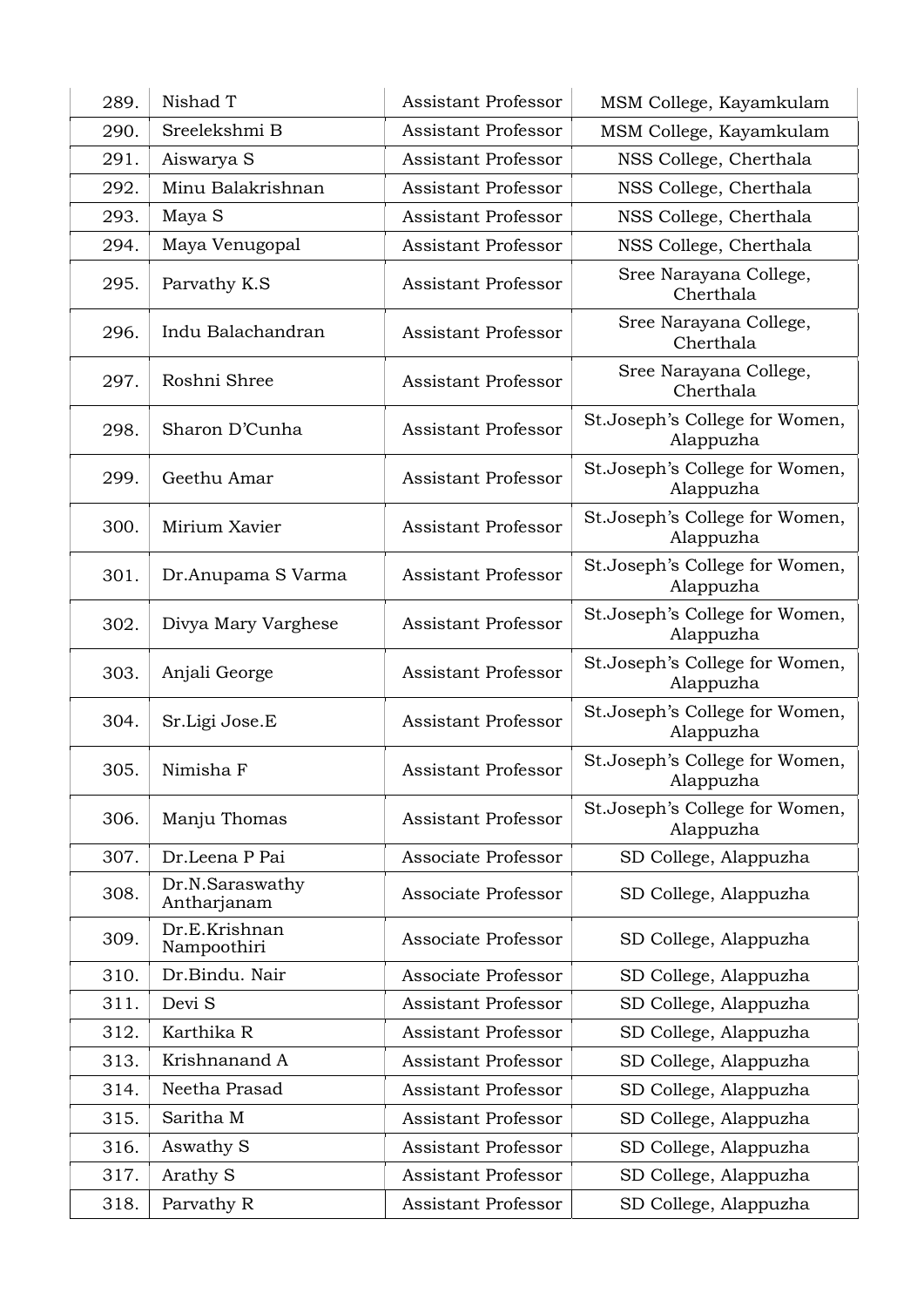| 289. | Nishad T                       | <b>Assistant Professor</b> | MSM College, Kayamkulam                     |
|------|--------------------------------|----------------------------|---------------------------------------------|
| 290. | Sreelekshmi B                  | <b>Assistant Professor</b> | MSM College, Kayamkulam                     |
| 291. | Aiswarya S                     | <b>Assistant Professor</b> | NSS College, Cherthala                      |
| 292. | Minu Balakrishnan              | <b>Assistant Professor</b> | NSS College, Cherthala                      |
| 293. | Maya S                         | Assistant Professor        | NSS College, Cherthala                      |
| 294. | Maya Venugopal                 | <b>Assistant Professor</b> | NSS College, Cherthala                      |
| 295. | Parvathy K.S                   | <b>Assistant Professor</b> | Sree Narayana College,<br>Cherthala         |
| 296. | Indu Balachandran              | <b>Assistant Professor</b> | Sree Narayana College,<br>Cherthala         |
| 297. | Roshni Shree                   | <b>Assistant Professor</b> | Sree Narayana College,<br>Cherthala         |
| 298. | Sharon D'Cunha                 | <b>Assistant Professor</b> | St.Joseph's College for Women,<br>Alappuzha |
| 299. | Geethu Amar                    | <b>Assistant Professor</b> | St.Joseph's College for Women,<br>Alappuzha |
| 300. | Mirium Xavier                  | <b>Assistant Professor</b> | St.Joseph's College for Women,<br>Alappuzha |
| 301. | Dr.Anupama S Varma             | <b>Assistant Professor</b> | St.Joseph's College for Women,<br>Alappuzha |
| 302. | Divya Mary Varghese            | <b>Assistant Professor</b> | St.Joseph's College for Women,<br>Alappuzha |
| 303. | Anjali George                  | <b>Assistant Professor</b> | St.Joseph's College for Women,<br>Alappuzha |
| 304. | Sr.Ligi Jose.E                 | <b>Assistant Professor</b> | St.Joseph's College for Women,<br>Alappuzha |
| 305. | Nimisha F                      | <b>Assistant Professor</b> | St.Joseph's College for Women,<br>Alappuzha |
| 306. | Manju Thomas                   | <b>Assistant Professor</b> | St.Joseph's College for Women,<br>Alappuzha |
| 307. | Dr.Leena P Pai                 | Associate Professor        | SD College, Alappuzha                       |
| 308. | Dr.N.Saraswathy<br>Antharjanam | Associate Professor        | SD College, Alappuzha                       |
| 309. | Dr.E.Krishnan<br>Nampoothiri   | Associate Professor        | SD College, Alappuzha                       |
| 310. | Dr.Bindu. Nair                 | Associate Professor        | SD College, Alappuzha                       |
| 311. | Devi S                         | <b>Assistant Professor</b> | SD College, Alappuzha                       |
| 312. | Karthika R                     | <b>Assistant Professor</b> | SD College, Alappuzha                       |
| 313. | Krishnanand A                  | <b>Assistant Professor</b> | SD College, Alappuzha                       |
| 314. | Neetha Prasad                  | <b>Assistant Professor</b> | SD College, Alappuzha                       |
| 315. | Saritha M                      | <b>Assistant Professor</b> | SD College, Alappuzha                       |
| 316. | Aswathy S                      | <b>Assistant Professor</b> | SD College, Alappuzha                       |
| 317. | Arathy S                       | <b>Assistant Professor</b> | SD College, Alappuzha                       |
| 318. | Parvathy R                     | Assistant Professor        | SD College, Alappuzha                       |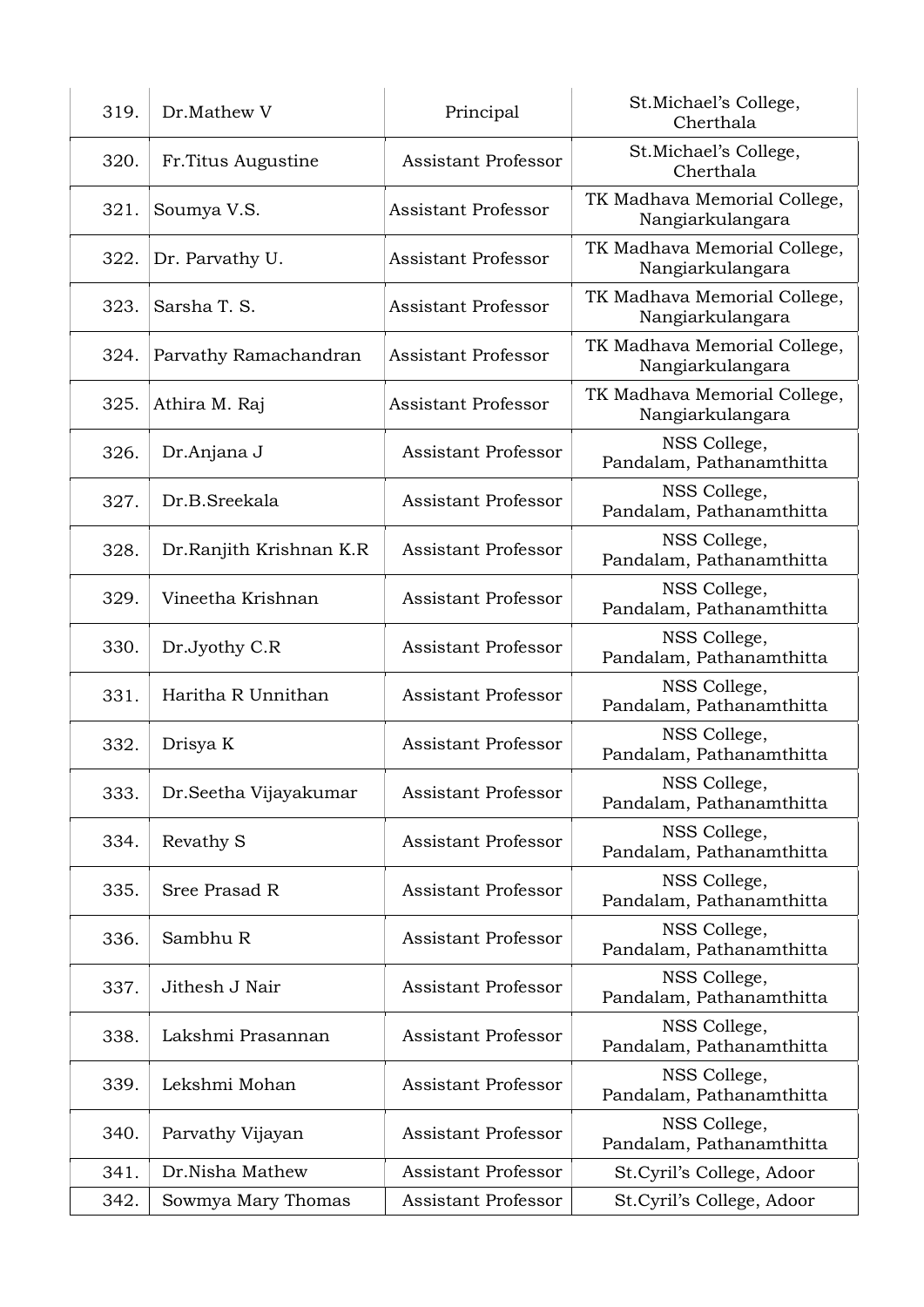| 319. | Dr.Mathew V             | Principal                  | St.Michael's College,<br>Cherthala               |
|------|-------------------------|----------------------------|--------------------------------------------------|
| 320. | Fr. Titus Augustine     | <b>Assistant Professor</b> | St.Michael's College,<br>Cherthala               |
| 321. | Soumya V.S.             | <b>Assistant Professor</b> | TK Madhava Memorial College,<br>Nangiarkulangara |
| 322. | Dr. Parvathy U.         | <b>Assistant Professor</b> | TK Madhava Memorial College,<br>Nangiarkulangara |
| 323. | Sarsha T. S.            | <b>Assistant Professor</b> | TK Madhava Memorial College,<br>Nangiarkulangara |
| 324. | Parvathy Ramachandran   | <b>Assistant Professor</b> | TK Madhava Memorial College,<br>Nangiarkulangara |
| 325. | Athira M. Raj           | <b>Assistant Professor</b> | TK Madhava Memorial College,<br>Nangiarkulangara |
| 326. | Dr.Anjana J             | <b>Assistant Professor</b> | NSS College,<br>Pandalam, Pathanamthitta         |
| 327. | Dr.B.Sreekala           | <b>Assistant Professor</b> | NSS College,<br>Pandalam, Pathanamthitta         |
| 328. | Dr.Ranjith Krishnan K.R | <b>Assistant Professor</b> | NSS College,<br>Pandalam, Pathanamthitta         |
| 329. | Vineetha Krishnan       | <b>Assistant Professor</b> | NSS College,<br>Pandalam, Pathanamthitta         |
| 330. | Dr.Jyothy C.R           | <b>Assistant Professor</b> | NSS College,<br>Pandalam, Pathanamthitta         |
| 331. | Haritha R Unnithan      | <b>Assistant Professor</b> | NSS College,<br>Pandalam, Pathanamthitta         |
| 332. | Drisya K                | <b>Assistant Professor</b> | NSS College,<br>Pandalam, Pathanamthitta         |
| 333. | Dr.Seetha Vijayakumar   | <b>Assistant Professor</b> | NSS College,<br>Pandalam, Pathanamthitta         |
| 334. | Revathy S               | <b>Assistant Professor</b> | NSS College,<br>Pandalam, Pathanamthitta         |
| 335. | Sree Prasad R           | <b>Assistant Professor</b> | NSS College,<br>Pandalam, Pathanamthitta         |
| 336. | Sambhu R                | <b>Assistant Professor</b> | NSS College,<br>Pandalam, Pathanamthitta         |
| 337. | Jithesh J Nair          | <b>Assistant Professor</b> | NSS College,<br>Pandalam, Pathanamthitta         |
| 338. | Lakshmi Prasannan       | <b>Assistant Professor</b> | NSS College,<br>Pandalam, Pathanamthitta         |
| 339. | Lekshmi Mohan           | <b>Assistant Professor</b> | NSS College,<br>Pandalam, Pathanamthitta         |
| 340. | Parvathy Vijayan        | <b>Assistant Professor</b> | NSS College,<br>Pandalam, Pathanamthitta         |
| 341. | Dr.Nisha Mathew         | <b>Assistant Professor</b> | St.Cyril's College, Adoor                        |
| 342. | Sowmya Mary Thomas      | <b>Assistant Professor</b> | St.Cyril's College, Adoor                        |